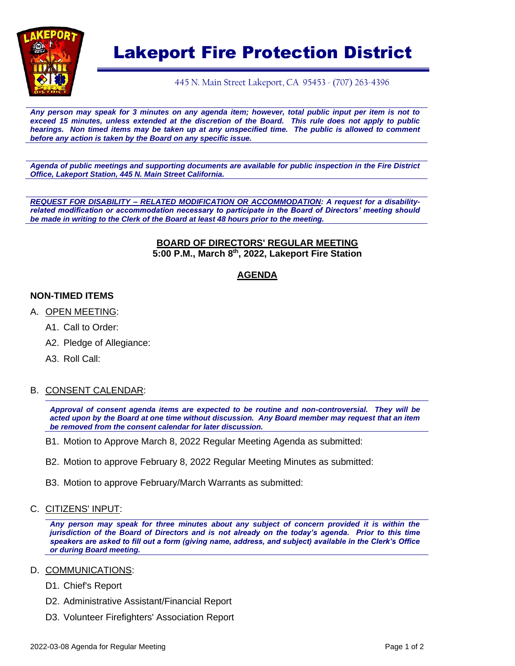

# Lakeport Fire Protection District

445 N. Main Street Lakeport, CA 95453 - (707) 263-4396

*Any person may speak for 3 minutes on any agenda item; however, total public input per item is not to exceed 15 minutes, unless extended at the discretion of the Board. This rule does not apply to public hearings. Non timed items may be taken up at any unspecified time. The public is allowed to comment before any action is taken by the Board on any specific issue.* 

*Agenda of public meetings and supporting documents are available for public inspection in the Fire District Office, Lakeport Station, 445 N. Main Street California.*

*REQUEST FOR DISABILITY – RELATED MODIFICATION OR ACCOMMODATION: A request for a disabilityrelated modification or accommodation necessary to participate in the Board of Directors' meeting should be made in writing to the Clerk of the Board at least 48 hours prior to the meeting.*

#### **BOARD OF DIRECTORS' REGULAR MEETING 5:00 P.M., March 8 th , 2022, Lakeport Fire Station**

# **AGENDA**

#### **NON-TIMED ITEMS**

- A. OPEN MEETING:
	- A1. Call to Order:
	- A2. Pledge of Allegiance:
	- A3. Roll Call:

#### B. CONSENT CALENDAR:

*Approval of consent agenda items are expected to be routine and non-controversial. They will be acted upon by the Board at one time without discussion. Any Board member may request that an item be removed from the consent calendar for later discussion.*

- B1. Motion to Approve March 8, 2022 Regular Meeting Agenda as submitted:
- B2. Motion to approve February 8, 2022 Regular Meeting Minutes as submitted:
- B3. Motion to approve February/March Warrants as submitted:
- C. CITIZENS' INPUT:

*Any person may speak for three minutes about any subject of concern provided it is within the jurisdiction of the Board of Directors and is not already on the today's agenda. Prior to this time speakers are asked to fill out a form (giving name, address, and subject) available in the Clerk's Office or during Board meeting.*

#### D. <u>COMMUNICATIONS</u>:

- D1. Chief's Report
- D2. Administrative Assistant/Financial Report
- D3. Volunteer Firefighters' Association Report